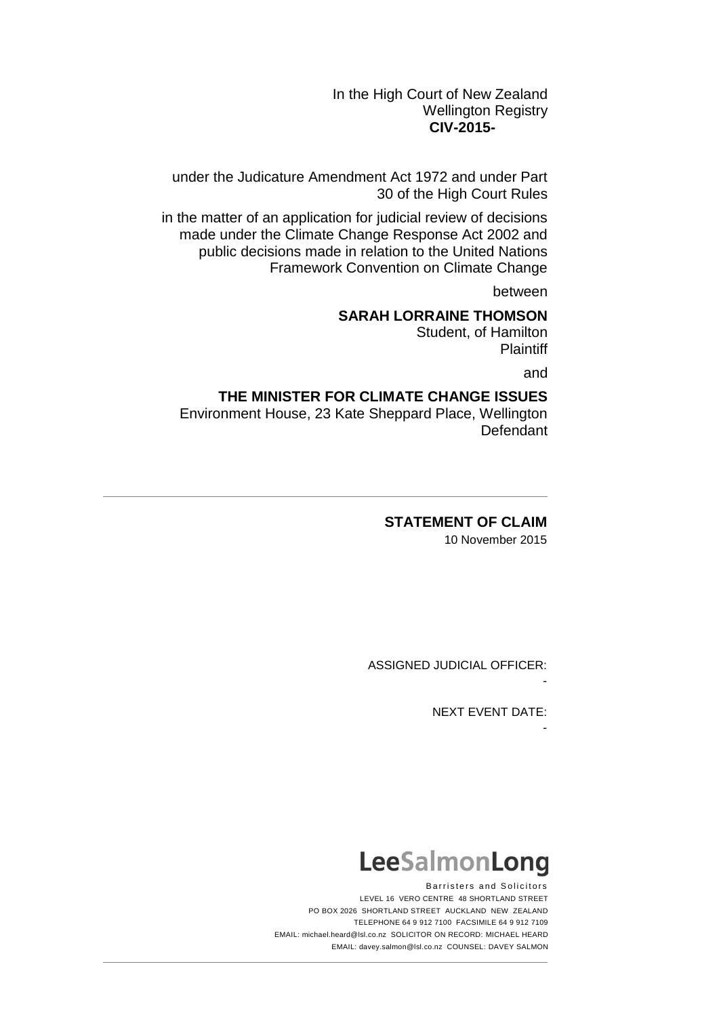In the High Court of New Zealand Wellington Registry **CIV-2015-** 

under the Judicature Amendment Act 1972 and under Part 30 of the High Court Rules

in the matter of an application for judicial review of decisions made under the Climate Change Response Act 2002 and public decisions made in relation to the United Nations Framework Convention on Climate Change

between

# **SARAH LORRAINE THOMSON**

Student, of Hamilton **Plaintiff** 

and

# **THE MINISTER FOR CLIMATE CHANGE ISSUES**

Environment House, 23 Kate Sheppard Place, Wellington Defendant

**STATEMENT OF CLAIM**

10 November 2015

ASSIGNED JUDICIAL OFFICER:

NEXT EVENT DATE:

-

-

# LeeSalmonLong

Barristers and Solicitors LEVEL 16 VERO CENTRE 48 SHORTLAND STREET PO BOX 2026 SHORTLAND STREET AUCKLAND NEW ZEALAND TELEPHONE 64 9 912 7100 FACSIMILE 64 9 912 7109 EMAIL: michael.heard@lsl.co.nz SOLICITOR ON RECORD: MICHAEL HEARD EMAIL: davey.salmon@lsl.co.nz COUNSEL: DAVEY SALMON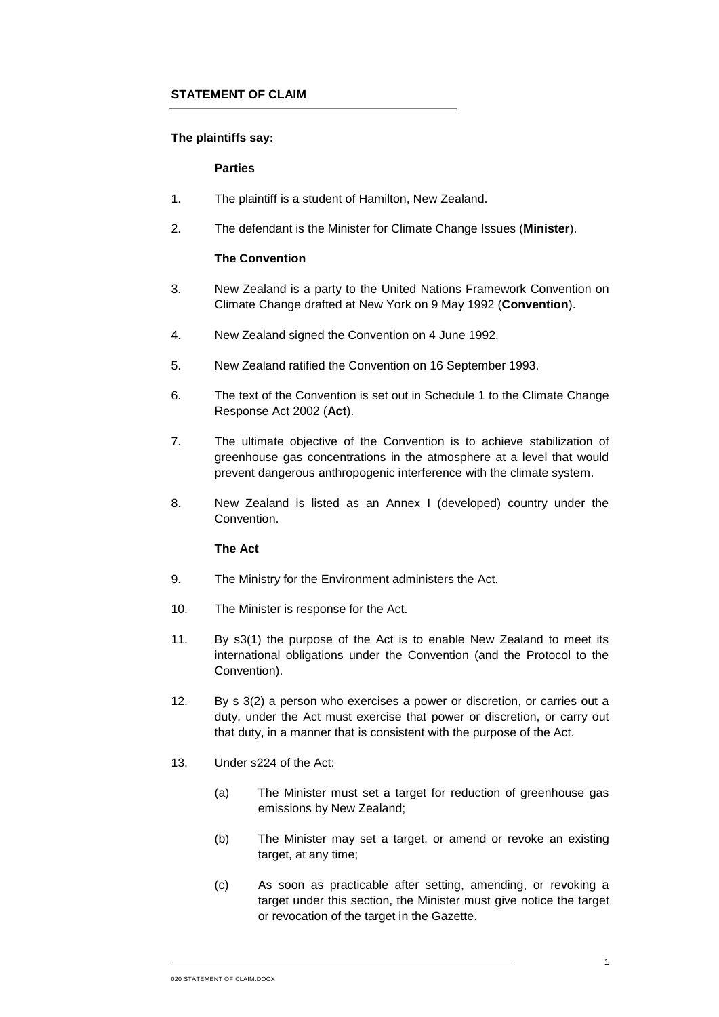## **The plaintiffs say:**

#### **Parties**

- 1. The plaintiff is a student of Hamilton, New Zealand.
- 2. The defendant is the Minister for Climate Change Issues (**Minister**).

## **The Convention**

- 3. New Zealand is a party to the United Nations Framework Convention on Climate Change drafted at New York on 9 May 1992 (**Convention**).
- 4. New Zealand signed the Convention on 4 June 1992.
- 5. New Zealand ratified the Convention on 16 September 1993.
- 6. The text of the Convention is set out in Schedule 1 to the Climate Change Response Act 2002 (**Act**).
- 7. The ultimate objective of the Convention is to achieve stabilization of greenhouse gas concentrations in the atmosphere at a level that would prevent dangerous anthropogenic interference with the climate system.
- 8. New Zealand is listed as an Annex I (developed) country under the Convention.

#### **The Act**

- 9. The Ministry for the Environment administers the Act.
- 10. The Minister is response for the Act.
- 11. By s3(1) the purpose of the Act is to enable New Zealand to meet its international obligations under the Convention (and the Protocol to the Convention).
- 12. By s 3(2) a person who exercises a power or discretion, or carries out a duty, under the Act must exercise that power or discretion, or carry out that duty, in a manner that is consistent with the purpose of the Act.
- 13. Under s224 of the Act:
	- (a) The Minister must set a target for reduction of greenhouse gas emissions by New Zealand;
	- (b) The Minister may set a target, or amend or revoke an existing target, at any time:
	- (c) As soon as practicable after setting, amending, or revoking a target under this section, the Minister must give notice the target or revocation of the target in the Gazette.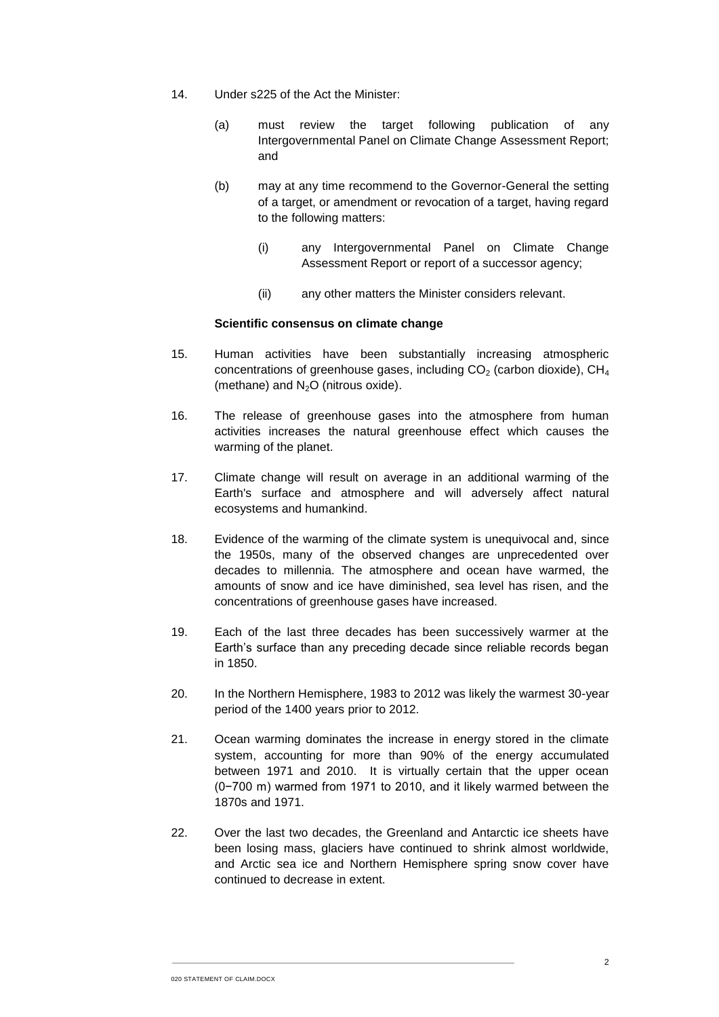- 14. Under s225 of the Act the Minister:
	- (a) must review the target following publication of any Intergovernmental Panel on Climate Change Assessment Report; and
	- (b) may at any time recommend to the Governor-General the setting of a target, or amendment or revocation of a target, having regard to the following matters:
		- (i) any Intergovernmental Panel on Climate Change Assessment Report or report of a successor agency;
		- (ii) any other matters the Minister considers relevant.

## **Scientific consensus on climate change**

- <span id="page-2-0"></span>15. Human activities have been substantially increasing atmospheric concentrations of greenhouse gases, including  $CO<sub>2</sub>$  (carbon dioxide),  $CH<sub>4</sub>$ (methane) and  $N_2O$  (nitrous oxide).
- 16. The release of greenhouse gases into the atmosphere from human activities increases the natural greenhouse effect which causes the warming of the planet.
- 17. Climate change will result on average in an additional warming of the Earth's surface and atmosphere and will adversely affect natural ecosystems and humankind.
- 18. Evidence of the warming of the climate system is unequivocal and, since the 1950s, many of the observed changes are unprecedented over decades to millennia. The atmosphere and ocean have warmed, the amounts of snow and ice have diminished, sea level has risen, and the concentrations of greenhouse gases have increased.
- 19. Each of the last three decades has been successively warmer at the Earth's surface than any preceding decade since reliable records began in 1850.
- 20. In the Northern Hemisphere, 1983 to 2012 was likely the warmest 30-year period of the 1400 years prior to 2012.
- 21. Ocean warming dominates the increase in energy stored in the climate system, accounting for more than 90% of the energy accumulated between 1971 and 2010. It is virtually certain that the upper ocean (0−700 m) warmed from 1971 to 2010, and it likely warmed between the 1870s and 1971.
- 22. Over the last two decades, the Greenland and Antarctic ice sheets have been losing mass, glaciers have continued to shrink almost worldwide, and Arctic sea ice and Northern Hemisphere spring snow cover have continued to decrease in extent.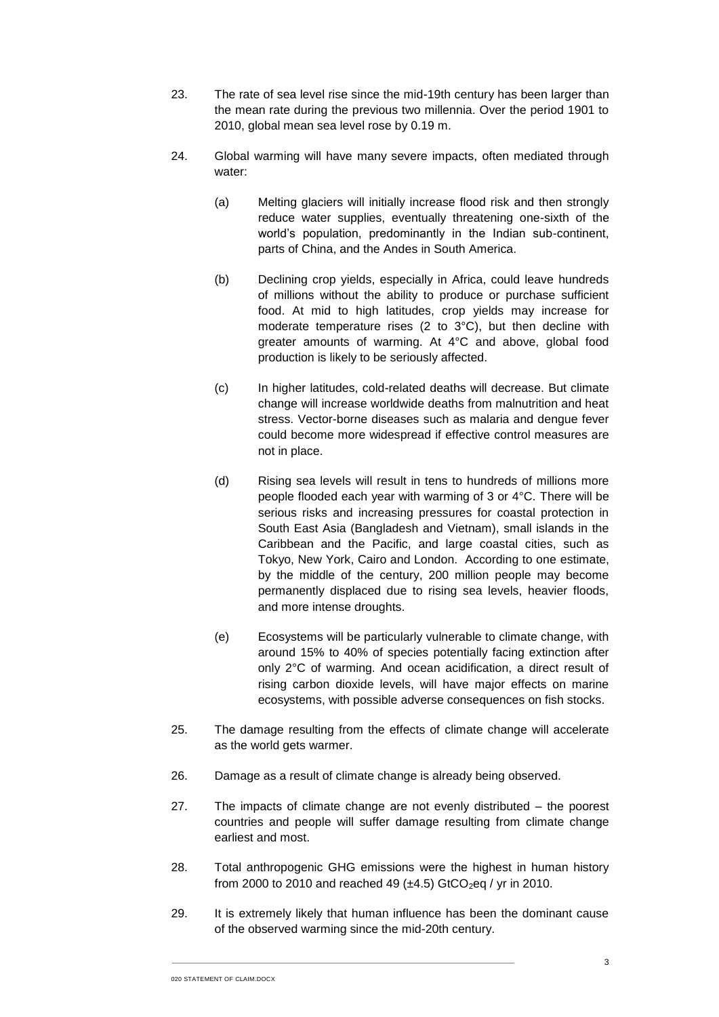- 23. The rate of sea level rise since the mid-19th century has been larger than the mean rate during the previous two millennia. Over the period 1901 to 2010, global mean sea level rose by 0.19 m.
- 24. Global warming will have many severe impacts, often mediated through water:
	- (a) Melting glaciers will initially increase flood risk and then strongly reduce water supplies, eventually threatening one-sixth of the world's population, predominantly in the Indian sub-continent, parts of China, and the Andes in South America.
	- (b) Declining crop yields, especially in Africa, could leave hundreds of millions without the ability to produce or purchase sufficient food. At mid to high latitudes, crop yields may increase for moderate temperature rises (2 to 3°C), but then decline with greater amounts of warming. At 4°C and above, global food production is likely to be seriously affected.
	- (c) In higher latitudes, cold-related deaths will decrease. But climate change will increase worldwide deaths from malnutrition and heat stress. Vector-borne diseases such as malaria and dengue fever could become more widespread if effective control measures are not in place.
	- (d) Rising sea levels will result in tens to hundreds of millions more people flooded each year with warming of 3 or 4°C. There will be serious risks and increasing pressures for coastal protection in South East Asia (Bangladesh and Vietnam), small islands in the Caribbean and the Pacific, and large coastal cities, such as Tokyo, New York, Cairo and London. According to one estimate, by the middle of the century, 200 million people may become permanently displaced due to rising sea levels, heavier floods, and more intense droughts.
	- (e) Ecosystems will be particularly vulnerable to climate change, with around 15% to 40% of species potentially facing extinction after only 2°C of warming. And ocean acidification, a direct result of rising carbon dioxide levels, will have major effects on marine ecosystems, with possible adverse consequences on fish stocks.
- 25. The damage resulting from the effects of climate change will accelerate as the world gets warmer.
- 26. Damage as a result of climate change is already being observed.
- 27. The impacts of climate change are not evenly distributed the poorest countries and people will suffer damage resulting from climate change earliest and most.
- 28. Total anthropogenic GHG emissions were the highest in human history from 2000 to 2010 and reached 49 ( $\pm$ 4.5) GtCO<sub>2</sub>eq / yr in 2010.
- 29. It is extremely likely that human influence has been the dominant cause of the observed warming since the mid-20th century.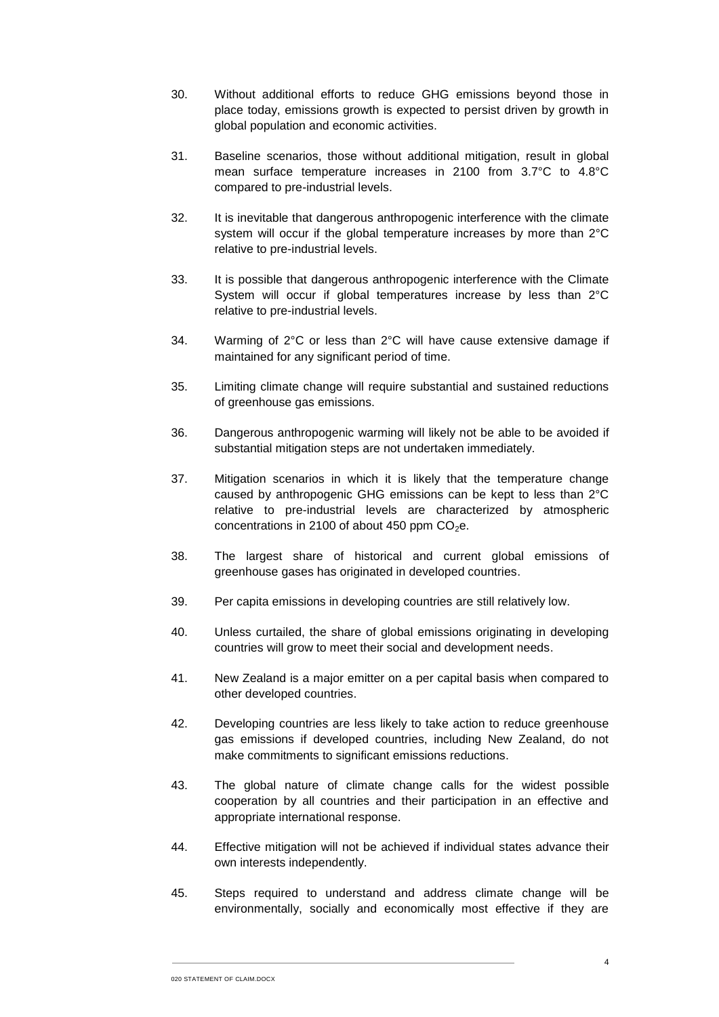- 30. Without additional efforts to reduce GHG emissions beyond those in place today, emissions growth is expected to persist driven by growth in global population and economic activities.
- 31. Baseline scenarios, those without additional mitigation, result in global mean surface temperature increases in 2100 from 3.7°C to 4.8°C compared to pre-industrial levels.
- 32. It is inevitable that dangerous anthropogenic interference with the climate system will occur if the global temperature increases by more than 2°C relative to pre-industrial levels.
- 33. It is possible that dangerous anthropogenic interference with the Climate System will occur if global temperatures increase by less than 2°C relative to pre-industrial levels.
- 34. Warming of 2°C or less than 2°C will have cause extensive damage if maintained for any significant period of time.
- 35. Limiting climate change will require substantial and sustained reductions of greenhouse gas emissions.
- 36. Dangerous anthropogenic warming will likely not be able to be avoided if substantial mitigation steps are not undertaken immediately.
- 37. Mitigation scenarios in which it is likely that the temperature change caused by anthropogenic GHG emissions can be kept to less than 2°C relative to pre-industrial levels are characterized by atmospheric concentrations in 2100 of about 450 ppm  $CO<sub>2</sub>e$ .
- 38. The largest share of historical and current global emissions of greenhouse gases has originated in developed countries.
- 39. Per capita emissions in developing countries are still relatively low.
- 40. Unless curtailed, the share of global emissions originating in developing countries will grow to meet their social and development needs.
- 41. New Zealand is a major emitter on a per capital basis when compared to other developed countries.
- 42. Developing countries are less likely to take action to reduce greenhouse gas emissions if developed countries, including New Zealand, do not make commitments to significant emissions reductions.
- 43. The global nature of climate change calls for the widest possible cooperation by all countries and their participation in an effective and appropriate international response.
- 44. Effective mitigation will not be achieved if individual states advance their own interests independently.
- 45. Steps required to understand and address climate change will be environmentally, socially and economically most effective if they are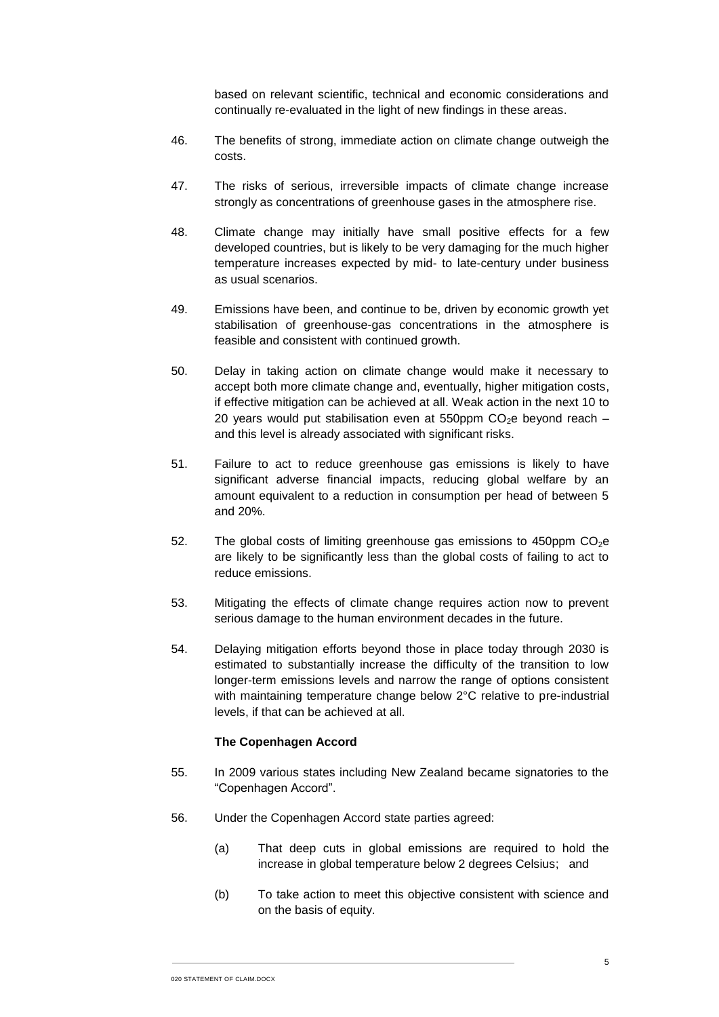based on relevant scientific, technical and economic considerations and continually re-evaluated in the light of new findings in these areas.

- 46. The benefits of strong, immediate action on climate change outweigh the costs.
- 47. The risks of serious, irreversible impacts of climate change increase strongly as concentrations of greenhouse gases in the atmosphere rise.
- 48. Climate change may initially have small positive effects for a few developed countries, but is likely to be very damaging for the much higher temperature increases expected by mid- to late-century under business as usual scenarios.
- 49. Emissions have been, and continue to be, driven by economic growth yet stabilisation of greenhouse-gas concentrations in the atmosphere is feasible and consistent with continued growth.
- 50. Delay in taking action on climate change would make it necessary to accept both more climate change and, eventually, higher mitigation costs, if effective mitigation can be achieved at all. Weak action in the next 10 to 20 years would put stabilisation even at 550ppm  $CO<sub>2</sub>e$  beyond reach – and this level is already associated with significant risks.
- 51. Failure to act to reduce greenhouse gas emissions is likely to have significant adverse financial impacts, reducing global welfare by an amount equivalent to a reduction in consumption per head of between 5 and 20%.
- 52. The global costs of limiting greenhouse gas emissions to 450ppm  $CO<sub>2</sub>e$ are likely to be significantly less than the global costs of failing to act to reduce emissions.
- 53. Mitigating the effects of climate change requires action now to prevent serious damage to the human environment decades in the future.
- <span id="page-5-0"></span>54. Delaying mitigation efforts beyond those in place today through 2030 is estimated to substantially increase the difficulty of the transition to low longer-term emissions levels and narrow the range of options consistent with maintaining temperature change below 2°C relative to pre-industrial levels, if that can be achieved at all.

## **The Copenhagen Accord**

- 55. In 2009 various states including New Zealand became signatories to the "Copenhagen Accord".
- 56. Under the Copenhagen Accord state parties agreed:
	- (a) That deep cuts in global emissions are required to hold the increase in global temperature below 2 degrees Celsius; and
	- (b) To take action to meet this objective consistent with science and on the basis of equity.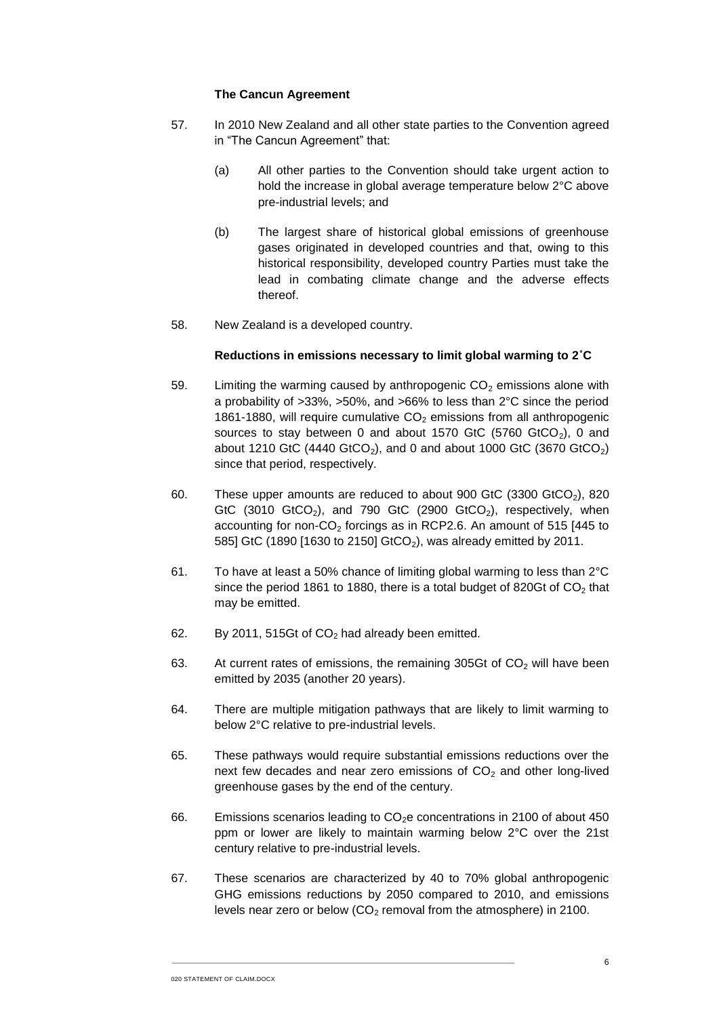## **The Cancun Agreement**

- 57. In 2010 New Zealand and all other state parties to the Convention agreed in "The Cancun Agreement" that:
	- (a) All other parties to the Convention should take urgent action to hold the increase in global average temperature below 2°C above pre-industrial levels; and
	- (b) The largest share of historical global emissions of greenhouse gases originated in developed countries and that, owing to this historical responsibility, developed country Parties must take the lead in combating climate change and the adverse effects thereof.
- 58. New Zealand is a developed country.

## **Reductions in emissions necessary to limit global warming to 2˚C**

- <span id="page-6-0"></span>59. Limiting the warming caused by anthropogenic  $CO<sub>2</sub>$  emissions alone with a probability of >33%, >50%, and >66% to less than 2°C since the period 1861-1880, will require cumulative  $CO<sub>2</sub>$  emissions from all anthropogenic sources to stay between 0 and about 1570 GtC (5760 GtCO<sub>2</sub>), 0 and about 1210 GtC (4440 GtCO<sub>2</sub>), and 0 and about 1000 GtC (3670 GtCO<sub>2</sub>) since that period, respectively.
- 60. These upper amounts are reduced to about 900 GtC  $(3300 \text{ GtCO}_2)$ , 820 GtC (3010 GtCO<sub>2</sub>), and 790 GtC (2900 GtCO<sub>2</sub>), respectively, when accounting for non- $CO<sub>2</sub>$  forcings as in RCP2.6. An amount of 515 [445 to 585] GtC (1890 [1630 to 2150] GtCO<sub>2</sub>), was already emitted by 2011.
- 61. To have at least a 50% chance of limiting global warming to less than 2°C since the period 1861 to 1880, there is a total budget of 820Gt of  $CO<sub>2</sub>$  that may be emitted.
- 62. By 2011, 515Gt of  $CO<sub>2</sub>$  had already been emitted.
- 63. At current rates of emissions, the remaining 305Gt of  $CO<sub>2</sub>$  will have been emitted by 2035 (another 20 years).
- 64. There are multiple mitigation pathways that are likely to limit warming to below 2°C relative to pre-industrial levels.
- 65. These pathways would require substantial emissions reductions over the next few decades and near zero emissions of  $CO<sub>2</sub>$  and other long-lived greenhouse gases by the end of the century.
- 66. Emissions scenarios leading to  $CO<sub>2</sub>e$  concentrations in 2100 of about 450 ppm or lower are likely to maintain warming below 2°C over the 21st century relative to pre-industrial levels.
- 67. These scenarios are characterized by 40 to 70% global anthropogenic GHG emissions reductions by 2050 compared to 2010, and emissions levels near zero or below  $(CO<sub>2</sub>$  removal from the atmosphere) in 2100.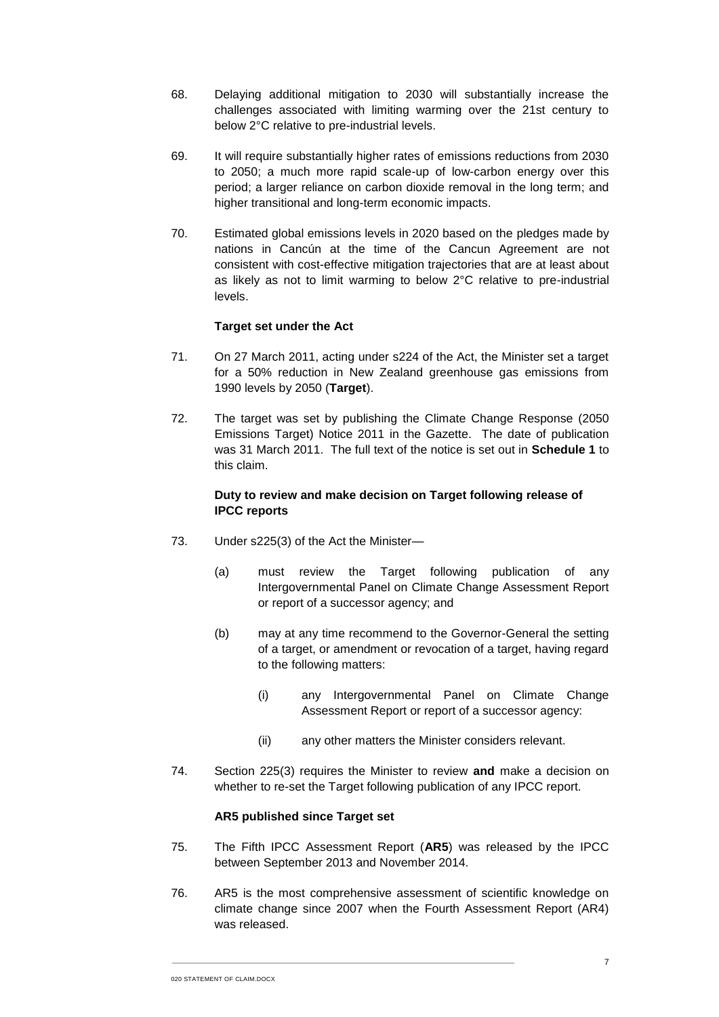- 68. Delaying additional mitigation to 2030 will substantially increase the challenges associated with limiting warming over the 21st century to below 2°C relative to pre-industrial levels.
- 69. It will require substantially higher rates of emissions reductions from 2030 to 2050; a much more rapid scale-up of low-carbon energy over this period; a larger reliance on carbon dioxide removal in the long term; and higher transitional and long-term economic impacts.
- <span id="page-7-0"></span>70. Estimated global emissions levels in 2020 based on the pledges made by nations in Cancún at the time of the Cancun Agreement are not consistent with cost-effective mitigation trajectories that are at least about as likely as not to limit warming to below 2°C relative to pre-industrial levels.

## **Target set under the Act**

- 71. On 27 March 2011, acting under s224 of the Act, the Minister set a target for a 50% reduction in New Zealand greenhouse gas emissions from 1990 levels by 2050 (**Target**).
- 72. The target was set by publishing the Climate Change Response (2050 Emissions Target) Notice 2011 in the Gazette. The date of publication was 31 March 2011. The full text of the notice is set out in **Schedule 1** to this claim.

## **Duty to review and make decision on Target following release of IPCC reports**

- 73. Under s225(3) of the Act the Minister—
	- (a) must review the Target following publication of any Intergovernmental Panel on Climate Change Assessment Report or report of a successor agency; and
	- (b) may at any time recommend to the Governor-General the setting of a target, or amendment or revocation of a target, having regard to the following matters:
		- (i) any Intergovernmental Panel on Climate Change Assessment Report or report of a successor agency:
		- (ii) any other matters the Minister considers relevant.
- 74. Section 225(3) requires the Minister to review **and** make a decision on whether to re-set the Target following publication of any IPCC report.

## **AR5 published since Target set**

- 75. The Fifth IPCC Assessment Report (**AR5**) was released by the IPCC between September 2013 and November 2014.
- 76. AR5 is the most comprehensive assessment of scientific knowledge on climate change since 2007 when the Fourth Assessment Report (AR4) was released.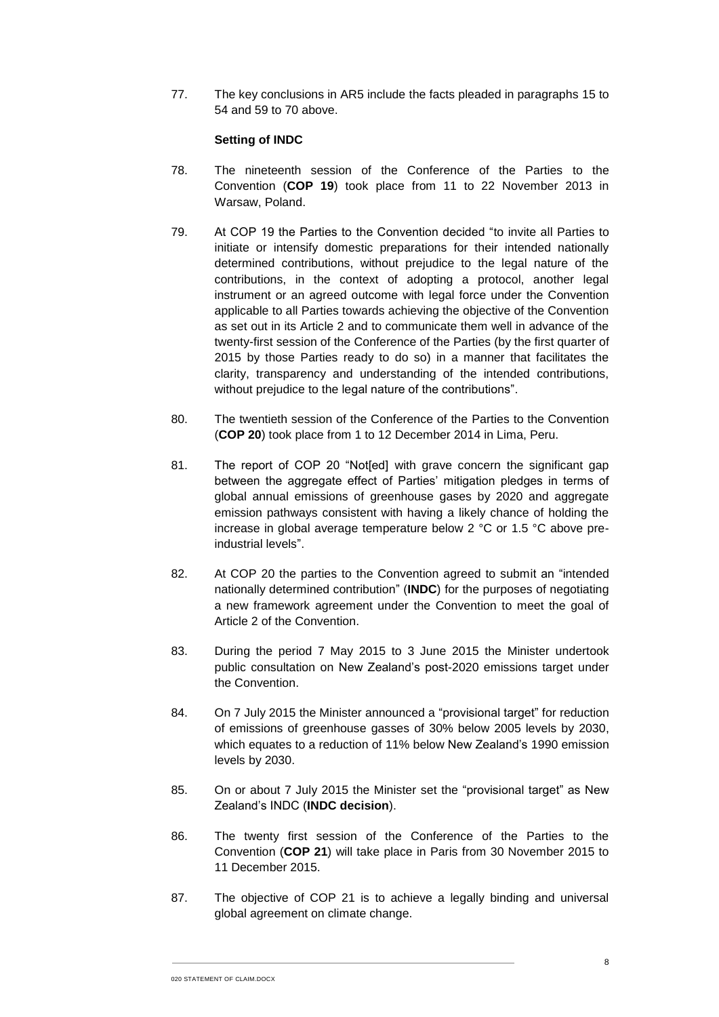77. The key conclusions in AR5 include the facts pleaded in paragraphs [15](#page-2-0) to [54](#page-5-0) and [59](#page-6-0) to [70](#page-7-0) above.

## **Setting of INDC**

- 78. The nineteenth session of the Conference of the Parties to the Convention (**COP 19**) took place from 11 to 22 November 2013 in Warsaw, Poland.
- 79. At COP 19 the Parties to the Convention decided "to invite all Parties to initiate or intensify domestic preparations for their intended nationally determined contributions, without prejudice to the legal nature of the contributions, in the context of adopting a protocol, another legal instrument or an agreed outcome with legal force under the Convention applicable to all Parties towards achieving the objective of the Convention as set out in its Article 2 and to communicate them well in advance of the twenty-first session of the Conference of the Parties (by the first quarter of 2015 by those Parties ready to do so) in a manner that facilitates the clarity, transparency and understanding of the intended contributions, without prejudice to the legal nature of the contributions".
- 80. The twentieth session of the Conference of the Parties to the Convention (**COP 20**) took place from 1 to 12 December 2014 in Lima, Peru.
- 81. The report of COP 20 "Not[ed] with grave concern the significant gap between the aggregate effect of Parties' mitigation pledges in terms of global annual emissions of greenhouse gases by 2020 and aggregate emission pathways consistent with having a likely chance of holding the increase in global average temperature below 2 °C or 1.5 °C above preindustrial levels".
- 82. At COP 20 the parties to the Convention agreed to submit an "intended nationally determined contribution" (**INDC**) for the purposes of negotiating a new framework agreement under the Convention to meet the goal of Article 2 of the Convention.
- 83. During the period 7 May 2015 to 3 June 2015 the Minister undertook public consultation on New Zealand's post-2020 emissions target under the Convention.
- 84. On 7 July 2015 the Minister announced a "provisional target" for reduction of emissions of greenhouse gasses of 30% below 2005 levels by 2030, which equates to a reduction of 11% below New Zealand's 1990 emission levels by 2030.
- 85. On or about 7 July 2015 the Minister set the "provisional target" as New Zealand's INDC (**INDC decision**).
- 86. The twenty first session of the Conference of the Parties to the Convention (**COP 21**) will take place in Paris from 30 November 2015 to 11 December 2015.
- 87. The objective of COP 21 is to achieve a legally binding and universal global agreement on climate change.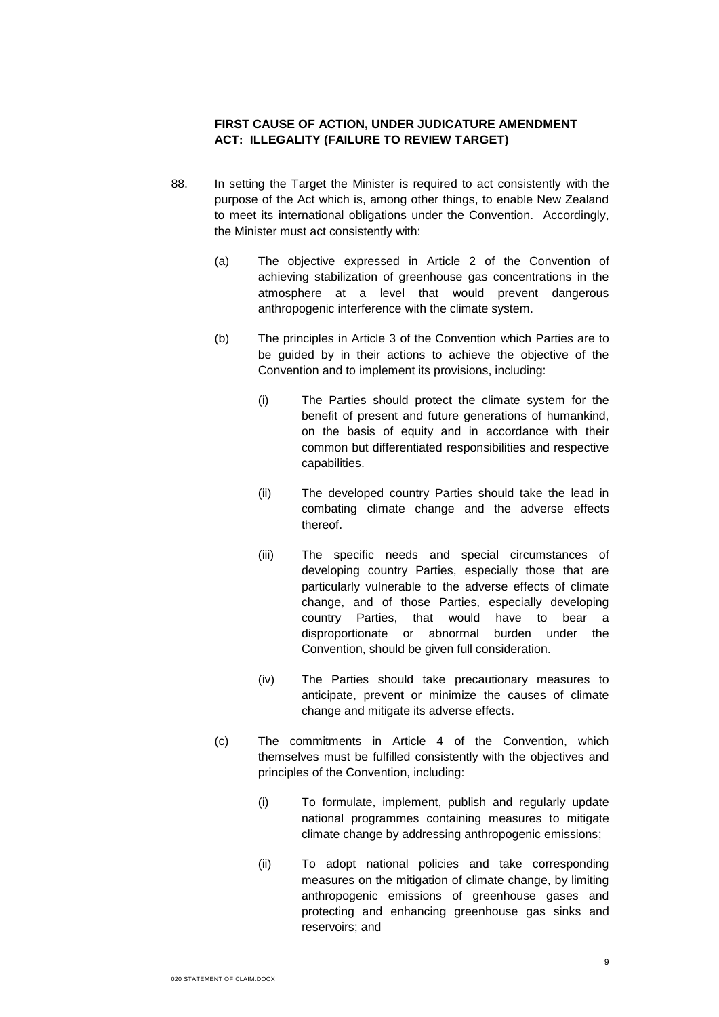# **FIRST CAUSE OF ACTION, UNDER JUDICATURE AMENDMENT ACT: ILLEGALITY (FAILURE TO REVIEW TARGET)**

- 88. In setting the Target the Minister is required to act consistently with the purpose of the Act which is, among other things, to enable New Zealand to meet its international obligations under the Convention. Accordingly, the Minister must act consistently with:
	- (a) The objective expressed in Article 2 of the Convention of achieving stabilization of greenhouse gas concentrations in the atmosphere at a level that would prevent dangerous anthropogenic interference with the climate system.
	- (b) The principles in Article 3 of the Convention which Parties are to be guided by in their actions to achieve the objective of the Convention and to implement its provisions, including:
		- (i) The Parties should protect the climate system for the benefit of present and future generations of humankind, on the basis of equity and in accordance with their common but differentiated responsibilities and respective capabilities.
		- (ii) The developed country Parties should take the lead in combating climate change and the adverse effects thereof.
		- (iii) The specific needs and special circumstances of developing country Parties, especially those that are particularly vulnerable to the adverse effects of climate change, and of those Parties, especially developing country Parties, that would have to bear a disproportionate or abnormal burden under the Convention, should be given full consideration.
		- (iv) The Parties should take precautionary measures to anticipate, prevent or minimize the causes of climate change and mitigate its adverse effects.
	- (c) The commitments in Article 4 of the Convention, which themselves must be fulfilled consistently with the objectives and principles of the Convention, including:
		- (i) To formulate, implement, publish and regularly update national programmes containing measures to mitigate climate change by addressing anthropogenic emissions;
		- (ii) To adopt national policies and take corresponding measures on the mitigation of climate change, by limiting anthropogenic emissions of greenhouse gases and protecting and enhancing greenhouse gas sinks and reservoirs; and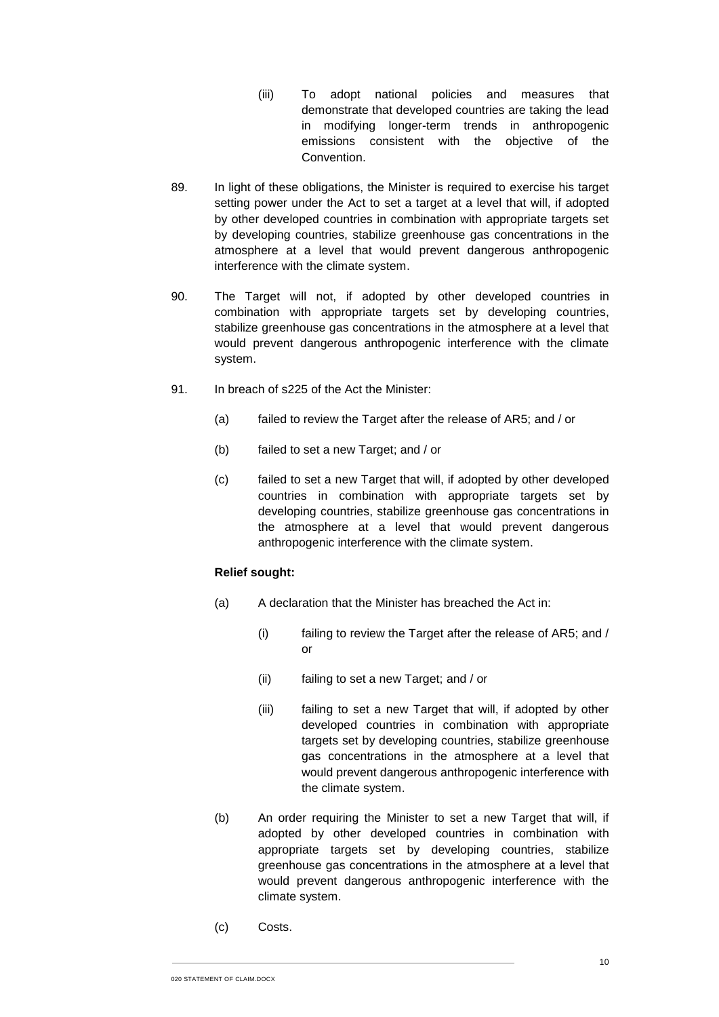- (iii) To adopt national policies and measures that demonstrate that developed countries are taking the lead in modifying longer-term trends in anthropogenic emissions consistent with the objective of the Convention.
- 89. In light of these obligations, the Minister is required to exercise his target setting power under the Act to set a target at a level that will, if adopted by other developed countries in combination with appropriate targets set by developing countries, stabilize greenhouse gas concentrations in the atmosphere at a level that would prevent dangerous anthropogenic interference with the climate system.
- 90. The Target will not, if adopted by other developed countries in combination with appropriate targets set by developing countries, stabilize greenhouse gas concentrations in the atmosphere at a level that would prevent dangerous anthropogenic interference with the climate system.
- 91. In breach of s225 of the Act the Minister:
	- (a) failed to review the Target after the release of AR5; and / or
	- (b) failed to set a new Target; and / or
	- (c) failed to set a new Target that will, if adopted by other developed countries in combination with appropriate targets set by developing countries, stabilize greenhouse gas concentrations in the atmosphere at a level that would prevent dangerous anthropogenic interference with the climate system.

#### **Relief sought:**

- (a) A declaration that the Minister has breached the Act in:
	- (i) failing to review the Target after the release of AR5; and / or
	- (ii) failing to set a new Target; and / or
	- (iii) failing to set a new Target that will, if adopted by other developed countries in combination with appropriate targets set by developing countries, stabilize greenhouse gas concentrations in the atmosphere at a level that would prevent dangerous anthropogenic interference with the climate system.
- (b) An order requiring the Minister to set a new Target that will, if adopted by other developed countries in combination with appropriate targets set by developing countries, stabilize greenhouse gas concentrations in the atmosphere at a level that would prevent dangerous anthropogenic interference with the climate system.
- (c) Costs.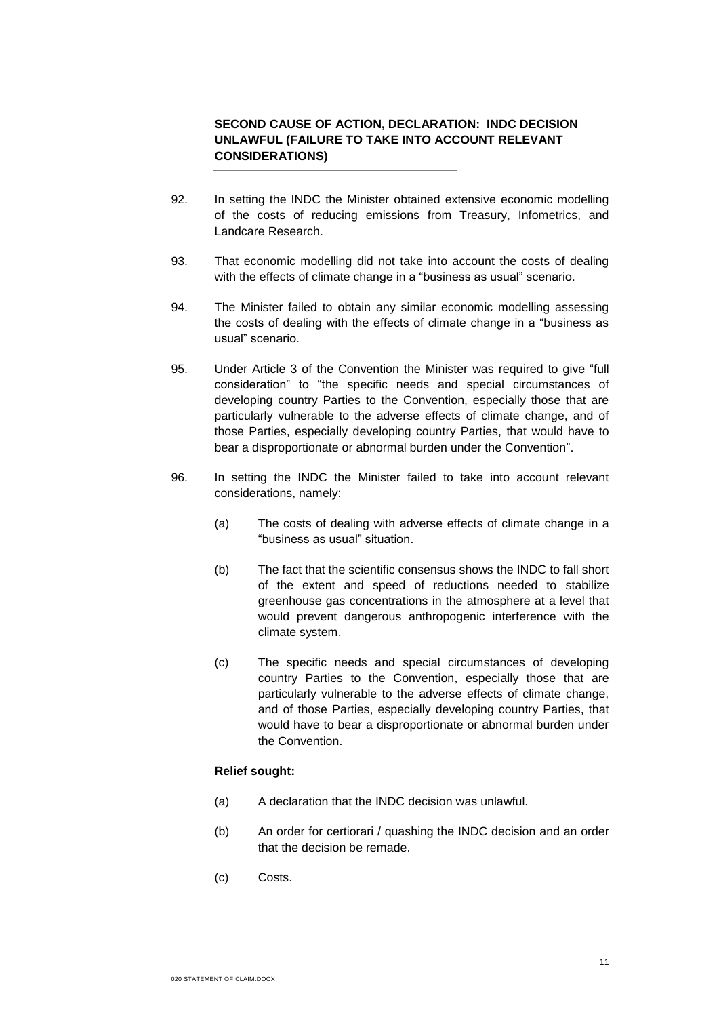# **SECOND CAUSE OF ACTION, DECLARATION: INDC DECISION UNLAWFUL (FAILURE TO TAKE INTO ACCOUNT RELEVANT CONSIDERATIONS)**

- 92. In setting the INDC the Minister obtained extensive economic modelling of the costs of reducing emissions from Treasury, Infometrics, and Landcare Research.
- 93. That economic modelling did not take into account the costs of dealing with the effects of climate change in a "business as usual" scenario.
- 94. The Minister failed to obtain any similar economic modelling assessing the costs of dealing with the effects of climate change in a "business as usual" scenario.
- 95. Under Article 3 of the Convention the Minister was required to give "full consideration" to "the specific needs and special circumstances of developing country Parties to the Convention, especially those that are particularly vulnerable to the adverse effects of climate change, and of those Parties, especially developing country Parties, that would have to bear a disproportionate or abnormal burden under the Convention".
- 96. In setting the INDC the Minister failed to take into account relevant considerations, namely:
	- (a) The costs of dealing with adverse effects of climate change in a "business as usual" situation.
	- (b) The fact that the scientific consensus shows the INDC to fall short of the extent and speed of reductions needed to stabilize greenhouse gas concentrations in the atmosphere at a level that would prevent dangerous anthropogenic interference with the climate system.
	- (c) The specific needs and special circumstances of developing country Parties to the Convention, especially those that are particularly vulnerable to the adverse effects of climate change, and of those Parties, especially developing country Parties, that would have to bear a disproportionate or abnormal burden under the Convention.

## **Relief sought:**

- (a) A declaration that the INDC decision was unlawful.
- (b) An order for certiorari / quashing the INDC decision and an order that the decision be remade.
- (c) Costs.

020 STATEMENT OF CLAIM.DOCX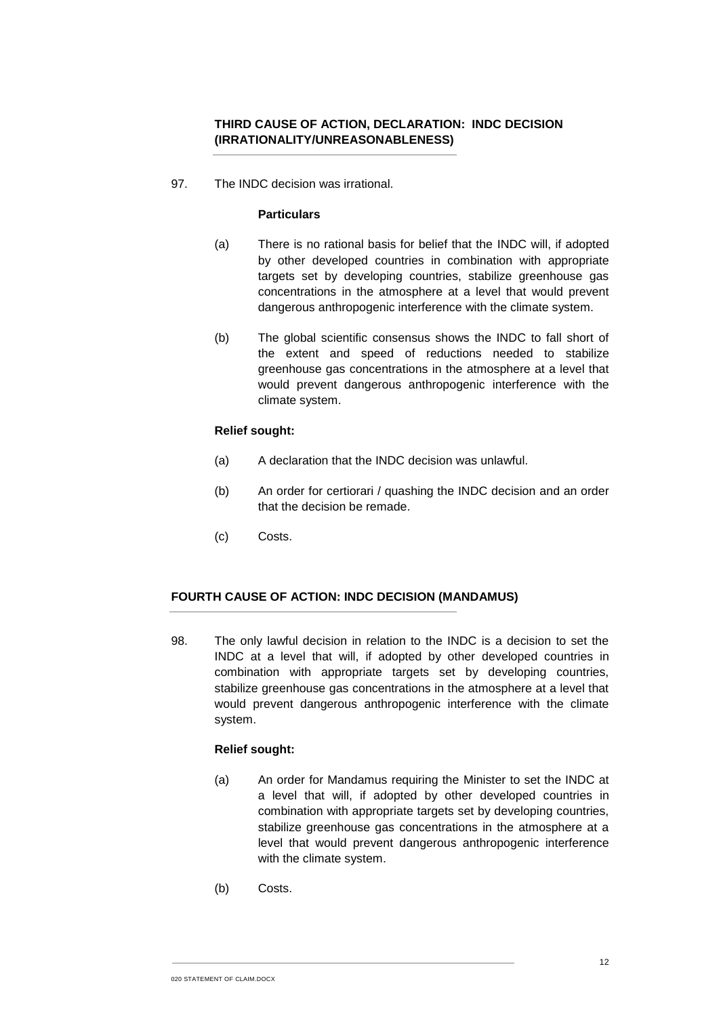# **THIRD CAUSE OF ACTION, DECLARATION: INDC DECISION (IRRATIONALITY/UNREASONABLENESS)**

97. The INDC decision was irrational.

### **Particulars**

- (a) There is no rational basis for belief that the INDC will, if adopted by other developed countries in combination with appropriate targets set by developing countries, stabilize greenhouse gas concentrations in the atmosphere at a level that would prevent dangerous anthropogenic interference with the climate system.
- (b) The global scientific consensus shows the INDC to fall short of the extent and speed of reductions needed to stabilize greenhouse gas concentrations in the atmosphere at a level that would prevent dangerous anthropogenic interference with the climate system.

## **Relief sought:**

- (a) A declaration that the INDC decision was unlawful.
- (b) An order for certiorari / quashing the INDC decision and an order that the decision be remade.
- (c) Costs.

## **FOURTH CAUSE OF ACTION: INDC DECISION (MANDAMUS)**

98. The only lawful decision in relation to the INDC is a decision to set the INDC at a level that will, if adopted by other developed countries in combination with appropriate targets set by developing countries, stabilize greenhouse gas concentrations in the atmosphere at a level that would prevent dangerous anthropogenic interference with the climate system.

## **Relief sought:**

- (a) An order for Mandamus requiring the Minister to set the INDC at a level that will, if adopted by other developed countries in combination with appropriate targets set by developing countries, stabilize greenhouse gas concentrations in the atmosphere at a level that would prevent dangerous anthropogenic interference with the climate system.
- (b) Costs.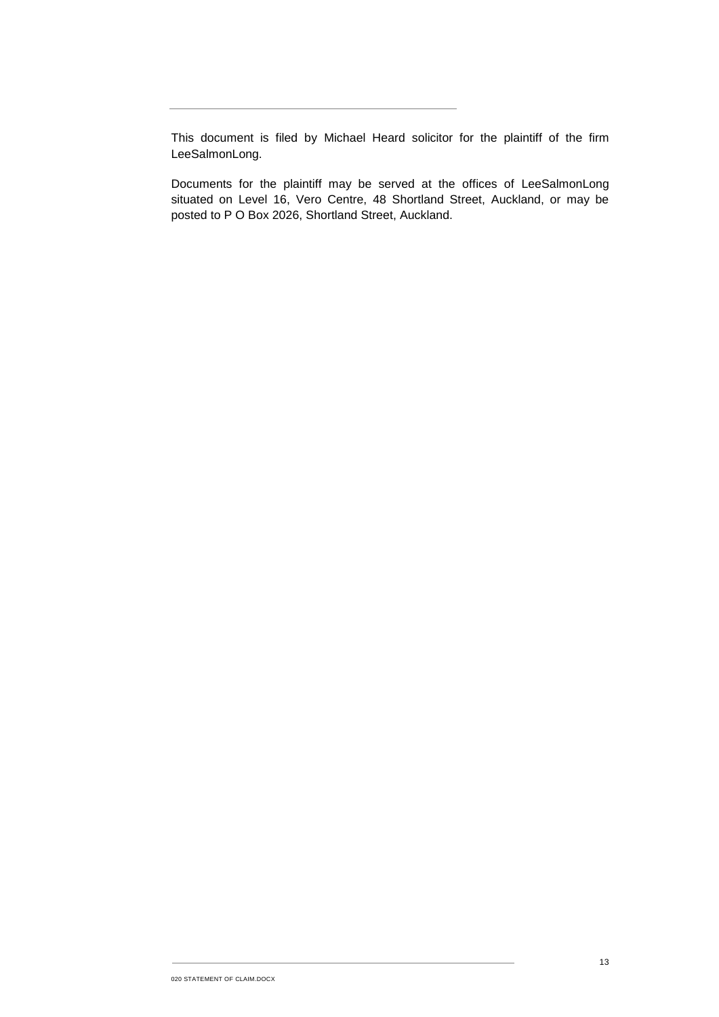This document is filed by Michael Heard solicitor for the plaintiff of the firm LeeSalmonLong.

Documents for the plaintiff may be served at the offices of LeeSalmonLong situated on Level 16, Vero Centre, 48 Shortland Street, Auckland, or may be posted to P O Box 2026, Shortland Street, Auckland.